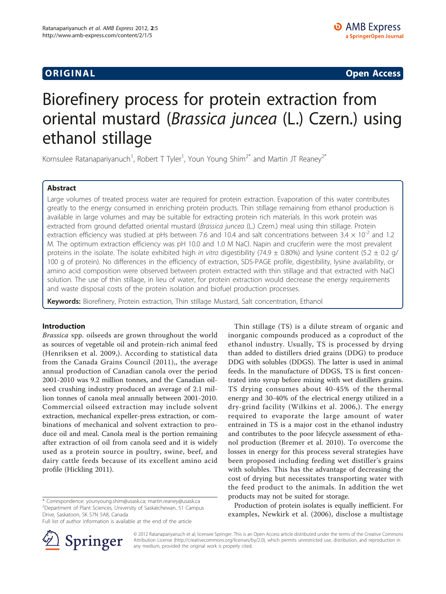**ORIGINAL CONSERVANCE CONSERVANCE CONSERVANCE CONSERVANCE CONSERVANCE CONSERVANCE CONSERVANCE CONSERVANCE CONSERVANCE CONSERVANCE CONSERVANCE CONSERVANCE CONSERVANCE CONSERVANCE CONSERVANCE CONSERVANCE CONSERVANCE CONSER** 

# Biorefinery process for protein extraction from oriental mustard (Brassica juncea (L.) Czern.) using ethanol stillage

Kornsulee Ratanapariyanuch<sup>1</sup>, Robert T Tyler<sup>1</sup>, Youn Young Shim<sup>2\*</sup> and Martin JT Reaney<sup>2\*</sup>

# Abstract

Large volumes of treated process water are required for protein extraction. Evaporation of this water contributes greatly to the energy consumed in enriching protein products. Thin stillage remaining from ethanol production is available in large volumes and may be suitable for extracting protein rich materials. In this work protein was extracted from ground defatted oriental mustard (Brassica juncea (L.) Czern.) meal using thin stillage. Protein extraction efficiency was studied at pHs between 7.6 and 10.4 and salt concentrations between 3.4  $\times$  10<sup>-2</sup> and 1.2 M. The optimum extraction efficiency was pH 10.0 and 1.0 M NaCl. Napin and cruciferin were the most prevalent proteins in the isolate. The isolate exhibited high in vitro digestibility (74.9  $\pm$  0.80%) and lysine content (5.2  $\pm$  0.2 g/ 100 g of protein). No differences in the efficiency of extraction, SDS-PAGE profile, digestibility, lysine availability, or amino acid composition were observed between protein extracted with thin stillage and that extracted with NaCl solution. The use of thin stillage, in lieu of water, for protein extraction would decrease the energy requirements and waste disposal costs of the protein isolation and biofuel production processes.

Keywords: Biorefinery, Protein extraction, Thin stillage Mustard, Salt concentration, Ethanol

## Introduction

Brassica spp. oilseeds are grown throughout the world as sources of vegetable oil and protein-rich animal feed ([Henriksen et al. 2009,](#page-8-0)). According to statistical data from the [Canada Grains Council \(2011\)](#page-8-0),, the average annual production of Canadian canola over the period 2001-2010 was 9.2 million tonnes, and the Canadian oilseed crushing industry produced an average of 2.1 million tonnes of canola meal annually between 2001-2010. Commercial oilseed extraction may include solvent extraction, mechanical expeller-press extraction, or combinations of mechanical and solvent extraction to produce oil and meal. Canola meal is the portion remaining after extraction of oil from canola seed and it is widely used as a protein source in poultry, swine, beef, and dairy cattle feeds because of its excellent amino acid profile [\(Hickling 2011\)](#page-8-0).

\* Correspondence: [younyoung.shim@usask.ca;](mailto:younyoung.shim@usask.ca) [martin.reaney@usask.ca](mailto:martin.reaney@usask.ca) <sup>2</sup> Department of Plant Sciences, University of Saskatchewan, 51 Campus Drive, Saskatoon, SK S7N 5A8, Canada

Full list of author information is available at the end of the article



Thin stillage (TS) is a dilute stream of organic and inorganic compounds produced as a coproduct of the ethanol industry. Usually, TS is processed by drying than added to distillers dried grains (DDG) to produce DDG with solubles (DDGS). The latter is used in animal feeds. In the manufacture of DDGS, TS is first concentrated into syrup before mixing with wet distillers grains. TS drying consumes about 40-45% of the thermal energy and 30-40% of the electrical energy utilized in a dry-grind facility ([Wilkins et al. 2006](#page-8-0),). The energy required to evaporate the large amount of water entrained in TS is a major cost in the ethanol industry and contributes to the poor lifecycle assessment of ethanol production ([Bremer et al. 2010\)](#page-8-0). To overcome the losses in energy for this process several strategies have been proposed including feeding wet distiller's grains with solubles. This has the advantage of decreasing the cost of drying but necessitates transporting water with the feed product to the animals. In addition the wet products may not be suited for storage.

Production of protein isolates is equally inefficient. For examples, [Newkirk et al. \(2006\),](#page-8-0) disclose a multistage

© 2012 Ratanapariyanuch et al; licensee Springer. This is an Open Access article distributed under the terms of the Creative Commons Attribution License [\(http://creativecommons.org/licenses/by/2.0](http://creativecommons.org/licenses/by/2.0)), which permits unrestricted use, distribution, and reproduction in any medium, provided the original work is properly cited.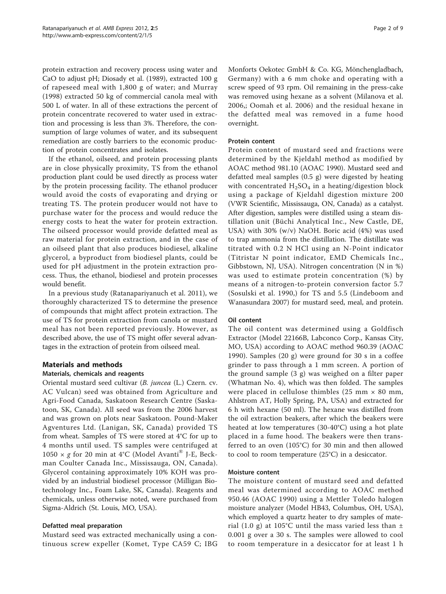protein extraction and recovery process using water and CaO to adjust pH; [Diosady et al. \(1989\)](#page-8-0), extracted 100 g of rapeseed meal with 1,800 g of water; and [Murray](#page-8-0) [\(1998\)](#page-8-0) extracted 50 kg of commercial canola meal with 500 L of water. In all of these extractions the percent of protein concentrate recovered to water used in extraction and processing is less than 3%. Therefore, the consumption of large volumes of water, and its subsequent remediation are costly barriers to the economic production of protein concentrates and isolates.

If the ethanol, oilseed, and protein processing plants are in close physically proximity, TS from the ethanol production plant could be used directly as process water by the protein processing facility. The ethanol producer would avoid the costs of evaporating and drying or treating TS. The protein producer would not have to purchase water for the process and would reduce the energy costs to heat the water for protein extraction. The oilseed processor would provide defatted meal as raw material for protein extraction, and in the case of an oilseed plant that also produces biodiesel, alkaline glycerol, a byproduct from biodiesel plants, could be used for pH adjustment in the protein extraction process. Thus, the ethanol, biodiesel and protein processes would benefit.

In a previous study ([Ratanapariyanuch et al. 2011\)](#page-8-0), we thoroughly characterized TS to determine the presence of compounds that might affect protein extraction. The use of TS for protein extraction from canola or mustard meal has not been reported previously. However, as described above, the use of TS might offer several advantages in the extraction of protein from oilseed meal.

# Materials and methods

## Materials, chemicals and reagents

Oriental mustard seed cultivar (B. juncea (L.) Czern. cv. AC Vulcan) seed was obtained from Agriculture and Agri-Food Canada, Saskatoon Research Centre (Saskatoon, SK, Canada). All seed was from the 2006 harvest and was grown on plots near Saskatoon. Pound-Maker Agventures Ltd. (Lanigan, SK, Canada) provided TS from wheat. Samples of TS were stored at 4°C for up to 4 months until used. TS samples were centrifuged at 1050  $\times$  g for 20 min at 4°C (Model Avanti® J-E, Beckman Coulter Canada Inc., Mississauga, ON, Canada). Glycerol containing approximately 10% KOH was provided by an industrial biodiesel processor (Milligan Biotechnology Inc., Foam Lake, SK, Canada). Reagents and chemicals, unless otherwise noted, were purchased from Sigma-Aldrich (St. Louis, MO, USA).

## Defatted meal preparation

Mustard seed was extracted mechanically using a continuous screw expeller (Komet, Type CA59 C; IBG

Monforts Oekotec GmbH & Co. KG, Mönchengladbach, Germany) with a 6 mm choke and operating with a screw speed of 93 rpm. Oil remaining in the press-cake was removed using hexane as a solvent [\(Milanova et al.](#page-8-0) [2006](#page-8-0),; [Oomah et al. 2006](#page-8-0)) and the residual hexane in the defatted meal was removed in a fume hood overnight.

#### Protein content

Protein content of mustard seed and fractions were determined by the Kjeldahl method as modified by AOAC method 981.10 [\(AOAC 1990\)](#page-8-0). Mustard seed and defatted meal samples (0.5 g) were digested by heating with concentrated  $H_2SO_4$  in a heating/digestion block using a package of Kjeldahl digestion mixture 200 (VWR Scientific, Mississauga, ON, Canada) as a catalyst. After digestion, samples were distilled using a steam distillation unit (Büchi Analytical Inc., New Castle, DE, USA) with 30% (w/v) NaOH. Boric acid (4%) was used to trap ammonia from the distillation. The distillate was titrated with 0.2 N HCl using an N-Point indicator (Titristar N point indicator, EMD Chemicals Inc., Gibbstown, NJ, USA). Nitrogen concentration (N in %) was used to estimate protein concentration (%) by means of a nitrogen-to-protein conversion factor 5.7 ([Sosulski et al. 1990,](#page-8-0)) for TS and 5.5 ([Lindeboom and](#page-8-0) [Wanasundara 2007](#page-8-0)) for mustard seed, meal, and protein.

## Oil content

The oil content was determined using a Goldfisch Extractor (Model 22166B, Labconco Corp., Kansas City, MO, USA) according to AOAC method 960.39 [\(AOAC](#page-8-0) [1990\)](#page-8-0). Samples (20 g) were ground for 30 s in a coffee grinder to pass through a 1 mm screen. A portion of the ground sample (3 g) was weighed on a filter paper (Whatman No. 4), which was then folded. The samples were placed in cellulose thimbles (25 mm  $\times$  80 mm, Ahlstrom AT, Holly Spring, PA, USA) and extracted for 6 h with hexane (50 ml). The hexane was distilled from the oil extraction beakers, after which the beakers were heated at low temperatures (30-40°C) using a hot plate placed in a fume hood. The beakers were then transferred to an oven (105°C) for 30 min and then allowed to cool to room temperature (25°C) in a desiccator.

#### Moisture content

The moisture content of mustard seed and defatted meal was determined according to AOAC method 950.46 ([AOAC 1990](#page-8-0)) using a Mettler Toledo halogen moisture analyzer (Model HB43, Columbus, OH, USA), which employed a quartz heater to dry samples of material (1.0 g) at 105°C until the mass varied less than  $\pm$ 0.001 g over a 30 s. The samples were allowed to cool to room temperature in a desiccator for at least 1 h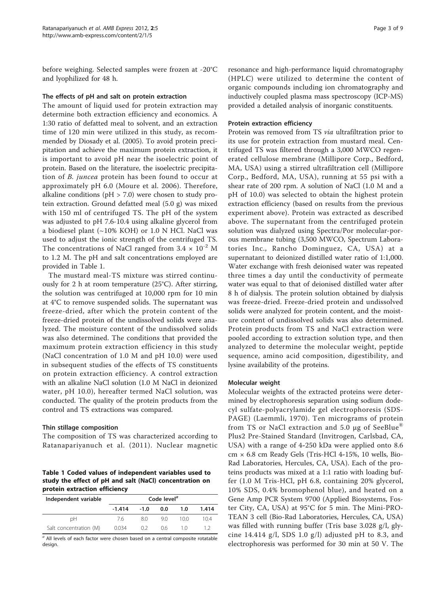<span id="page-2-0"></span>before weighing. Selected samples were frozen at -20°C and lyophilized for 48 h.

#### The effects of pH and salt on protein extraction

The amount of liquid used for protein extraction may determine both extraction efficiency and economics. A 1:30 ratio of defatted meal to solvent, and an extraction time of 120 min were utilized in this study, as recommended by [Diosady et al. \(2005\)](#page-8-0). To avoid protein precipitation and achieve the maximum protein extraction, it is important to avoid pH near the isoelectric point of protein. Based on the literature, the isoelectric precipitation of B. juncea protein has been found to occur at approximately pH 6.0 ([Moure et al. 2006](#page-8-0)). Therefore, alkaline conditions ( $pH > 7.0$ ) were chosen to study protein extraction. Ground defatted meal (5.0 g) was mixed with 150 ml of centrifuged TS. The pH of the system was adjusted to pH 7.6-10.4 using alkaline glycerol from a biodiesel plant (~10% KOH) or 1.0 N HCl. NaCl was used to adjust the ionic strength of the centrifuged TS. The concentrations of NaCl ranged from  $3.4 \times 10^{-2}$  M to 1.2 M. The pH and salt concentrations employed are provided in Table 1.

The mustard meal-TS mixture was stirred continuously for 2 h at room temperature  $(25^{\circ}C)$ . After stirring, the solution was centrifuged at 10,000 rpm for 10 min at 4°C to remove suspended solids. The supernatant was freeze-dried, after which the protein content of the freeze-dried protein of the undissolved solids were analyzed. The moisture content of the undissolved solids was also determined. The conditions that provided the maximum protein extraction efficiency in this study (NaCl concentration of 1.0 M and pH 10.0) were used in subsequent studies of the effects of TS constituents on protein extraction efficiency. A control extraction with an alkaline NaCl solution (1.0 M NaCl in deionized water, pH 10.0), hereafter termed NaCl solution, was conducted. The quality of the protein products from the control and TS extractions was compared.

## Thin stillage composition

The composition of TS was characterized according to [Ratanapariyanuch et al. \(2011\)](#page-8-0). Nuclear magnetic

Table 1 Coded values of independent variables used to study the effect of pH and salt (NaCl) concentration on protein extraction efficiency

| Independent variable   | Code level <sup>a</sup> |        |     |      |       |
|------------------------|-------------------------|--------|-----|------|-------|
|                        | $-1.414$                | $-1.0$ | 0.0 | 1.0  | 1.414 |
| рH                     | 76                      | 80     | 90  | 10 O | 104   |
| Salt concentration (M) | 0.034                   | 02     | 06  | 1 ∩  |       |

 $a$  All levels of each factor were chosen based on a central composite rotatable design.

resonance and high-performance liquid chromatography (HPLC) were utilized to determine the content of organic compounds including ion chromatography and inductively coupled plasma mass spectroscopy (ICP-MS) provided a detailed analysis of inorganic constituents.

#### Protein extraction efficiency

Protein was removed from TS via ultrafiltration prior to its use for protein extraction from mustard meal. Centrifuged TS was filtered through a 3,000 MWCO regenerated cellulose membrane (Millipore Corp., Bedford, MA, USA) using a stirred ultrafiltration cell (Millipore Corp., Bedford, MA, USA), running at 55 psi with a shear rate of 200 rpm. A solution of NaCl (1.0 M and a pH of 10.0) was selected to obtain the highest protein extraction efficiency (based on results from the previous experiment above). Protein was extracted as described above. The supernatant from the centrifuged protein solution was dialyzed using Spectra/Por molecular-porous membrane tubing (3,500 MWCO, Spectrum Laboratories Inc., Rancho Dominguez, CA, USA) at a supernatant to deionized distilled water ratio of 1:1,000. Water exchange with fresh deionised water was repeated three times a day until the conductivity of permeate water was equal to that of deionised distilled water after 8 h of dialysis. The protein solution obtained by dialysis was freeze-dried. Freeze-dried protein and undissolved solids were analyzed for protein content, and the moisture content of undissolved solids was also determined. Protein products from TS and NaCl extraction were pooled according to extraction solution type, and then analyzed to determine the molecular weight, peptide sequence, amino acid composition, digestibility, and lysine availability of the proteins.

#### Molecular weight

Molecular weights of the extracted proteins were determined by electrophoresis separation using sodium dodecyl sulfate-polyacrylamide gel electrophoresis (SDS-PAGE) ([Laemmli, 1970\)](#page-8-0). Ten micrograms of protein from TS or NaCl extraction and 5.0  $\mu$ g of SeeBlue<sup>®</sup> Plus2 Pre-Stained Standard (Invitrogen, Carlsbad, CA, USA) with a range of 4-250 kDa were applied onto 8.6  $cm \times 6.8$  cm Ready Gels (Tris-HCl 4-15%, 10 wells, Bio-Rad Laboratories, Hercules, CA, USA). Each of the proteins products was mixed at a 1:1 ratio with loading buffer (1.0 M Tris-HCl, pH 6.8, containing 20% glycerol, 10% SDS, 0.4% bromophenol blue), and heated on a Gene Amp PCR System 9700 (Applied Biosystems, Foster City, CA, USA) at 95°C for 5 min. The Mini-PRO-TEAN 3 cell (Bio-Rad Laboratories, Hercules, CA, USA) was filled with running buffer (Tris base 3.028 g/l, glycine 14.414 g/l, SDS 1.0 g/l) adjusted pH to 8.3, and electrophoresis was performed for 30 min at 50 V. The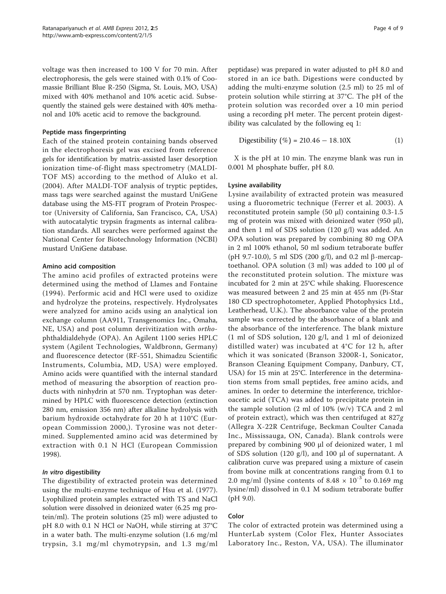voltage was then increased to 100 V for 70 min. After electrophoresis, the gels were stained with 0.1% of Coomassie Brilliant Blue R-250 (Sigma, St. Louis, MO, USA) mixed with 40% methanol and 10% acetic acid. Subsequently the stained gels were destained with 40% methanol and 10% acetic acid to remove the background.

#### Peptide mass fingerprinting

Each of the stained protein containing bands observed in the electrophoresis gel was excised from reference gels for identification by matrix-assisted laser desorption ionization time-of-flight mass spectrometry (MALDI-TOF MS) according to the method of [Aluko et al.](#page-8-0) [\(2004\).](#page-8-0) After MALDI-TOF analysis of tryptic peptides, mass tags were searched against the mustard UniGene database using the MS-FIT program of Protein Prospector (University of California, San Francisco, CA, USA) with autocatalytic trypsin fragments as internal calibration standards. All searches were performed against the National Center for Biotechnology Information (NCBI) mustard UniGene database.

#### Amino acid composition

The amino acid profiles of extracted proteins were determined using the method of [Llames and Fontaine](#page-8-0) [\(1994\).](#page-8-0) Performic acid and HCl were used to oxidize and hydrolyze the proteins, respectively. Hydrolysates were analyzed for amino acids using an analytical ion exchange column (AA911, Transgenomics Inc., Omaha, NE, USA) and post column derivitization with orthophthaldialdehyde (OPA). An Agilent 1100 series HPLC system (Agilent Technologies, Waldbronn, Germany) and fluorescence detector (RF-551, Shimadzu Scientific Instruments, Columbia, MD, USA) were employed. Amino acids were quantified with the internal standard method of measuring the absorption of reaction products with ninhydrin at 570 nm. Tryptophan was determined by HPLC with fluorescence detection (extinction 280 nm, emission 356 nm) after alkaline hydrolysis with barium hydroxide octahydrate for 20 h at 110°C ([Eur](#page-8-0)[opean Commission 2000,](#page-8-0)). Tyrosine was not determined. Supplemented amino acid was determined by extraction with 0.1 N HCl ([European Commission](#page-8-0) [1998](#page-8-0)).

## In vitro digestibility

The digestibility of extracted protein was determined using the multi-enzyme technique of [Hsu et al. \(1977\)](#page-8-0). Lyophilized protein samples extracted with TS and NaCl solution were dissolved in deionized water (6.25 mg protein/ml). The protein solutions (25 ml) were adjusted to pH 8.0 with 0.1 N HCl or NaOH, while stirring at 37°C in a water bath. The multi-enzyme solution (1.6 mg/ml trypsin, 3.1 mg/ml chymotrypsin, and 1.3 mg/ml

peptidase) was prepared in water adjusted to pH 8.0 and stored in an ice bath. Digestions were conducted by adding the multi-enzyme solution (2.5 ml) to 25 ml of protein solution while stirring at 37°C. The pH of the protein solution was recorded over a 10 min period using a recording pH meter. The percent protein digestibility was calculated by the following eq 1:

$$
Digestibility (\%) = 210.46 - 18.10X \tag{1}
$$

X is the pH at 10 min. The enzyme blank was run in 0.001 M phosphate buffer, pH 8.0.

#### Lysine availability

Lysine availability of extracted protein was measured using a fluorometric technique ([Ferrer et al. 2003](#page-8-0)). A reconstituted protein sample (50 μl) containing 0.3-1.5 mg of protein was mixed with deionized water (950  $\mu$ l), and then 1 ml of SDS solution (120 g/l) was added. An OPA solution was prepared by combining 80 mg OPA in 2 ml 100% ethanol, 50 ml sodium tetraborate buffer (pH 9.7-10.0), 5 ml SDS (200 g/l), and 0.2 ml  $\beta$ -mercaptoethanol. OPA solution (3 ml) was added to 100 μl of the reconstituted protein solution. The mixture was incubated for 2 min at 25°C while shaking. Fluorescence was measured between 2 and 25 min at 455 nm (Pi-Star 180 CD spectrophotometer, Applied Photophysics Ltd., Leatherhead, U.K.). The absorbance value of the protein sample was corrected by the absorbance of a blank and the absorbance of the interference. The blank mixture (1 ml of SDS solution, 120 g/l, and 1 ml of deionized distilled water) was incubated at 4°C for 12 h, after which it was sonicated (Branson 3200R-1, Sonicator, Branson Cleaning Equipment Company, Danbury, CT, USA) for 15 min at 25°C. Interference in the determination stems from small peptides, free amino acids, and amines. In order to determine the interference, trichloroacetic acid (TCA) was added to precipitate protein in the sample solution (2 ml of 10% (w/v) TCA and 2 ml of protein extract), which was then centrifuged at 827g (Allegra X-22R Centrifuge, Beckman Coulter Canada Inc., Mississauga, ON, Canada). Blank controls were prepared by combining 900 μl of deionized water, 1 ml of SDS solution (120 g/l), and 100 μl of supernatant. A calibration curve was prepared using a mixture of casein from bovine milk at concentrations ranging from 0.1 to 2.0 mg/ml (lysine contents of  $8.48 \times 10^{-3}$  to 0.169 mg lysine/ml) dissolved in 0.1 M sodium tetraborate buffer (pH 9.0).

## Color

The color of extracted protein was determined using a HunterLab system (Color Flex, Hunter Associates Laboratory Inc., Reston, VA, USA). The illuminator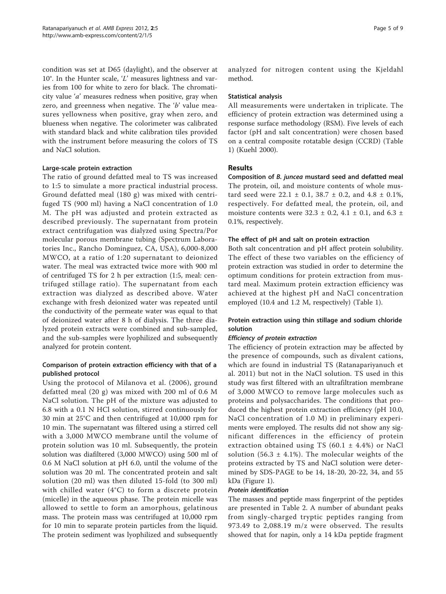condition was set at D65 (daylight), and the observer at 10°. In the Hunter scale, 'L' measures lightness and varies from 100 for white to zero for black. The chromaticity value 'a' measures redness when positive, gray when zero, and greenness when negative. The 'b' value measures yellowness when positive, gray when zero, and blueness when negative. The colorimeter was calibrated with standard black and white calibration tiles provided with the instrument before measuring the colors of TS and NaCl solution.

#### Large-scale protein extraction

The ratio of ground defatted meal to TS was increased to 1:5 to simulate a more practical industrial process. Ground defatted meal (180 g) was mixed with centrifuged TS (900 ml) having a NaCl concentration of 1.0 M. The pH was adjusted and protein extracted as described previously. The supernatant from protein extract centrifugation was dialyzed using Spectra/Por molecular porous membrane tubing (Spectrum Laboratories Inc., Rancho Dominguez, CA, USA), 6,000-8,000 MWCO, at a ratio of 1:20 supernatant to deionized water. The meal was extracted twice more with 900 ml of centrifuged TS for 2 h per extraction (1:5, meal: centrifuged stillage ratio). The supernatant from each extraction was dialyzed as described above. Water exchange with fresh deionized water was repeated until the conductivity of the permeate water was equal to that of deionized water after 8 h of dialysis. The three dialyzed protein extracts were combined and sub-sampled, and the sub-samples were lyophilized and subsequently analyzed for protein content.

# Comparison of protein extraction efficiency with that of a published protocol

Using the protocol of [Milanova et al. \(2006\)](#page-8-0), ground defatted meal (20 g) was mixed with 200 ml of 0.6 M NaCl solution. The pH of the mixture was adjusted to 6.8 with a 0.1 N HCl solution, stirred continuously for 30 min at 25°C and then centrifuged at 10,000 rpm for 10 min. The supernatant was filtered using a stirred cell with a 3,000 MWCO membrane until the volume of protein solution was 10 ml. Subsequently, the protein solution was diafiltered (3,000 MWCO) using 500 ml of 0.6 M NaCl solution at pH 6.0, until the volume of the solution was 20 ml. The concentrated protein and salt solution (20 ml) was then diluted 15-fold (to 300 ml) with chilled water (4°C) to form a discrete protein (micelle) in the aqueous phase. The protein micelle was allowed to settle to form an amorphous, gelatinous mass. The protein mass was centrifuged at 10,000 rpm for 10 min to separate protein particles from the liquid. The protein sediment was lyophilized and subsequently

analyzed for nitrogen content using the Kjeldahl method.

#### Statistical analysis

All measurements were undertaken in triplicate. The efficiency of protein extraction was determined using a response surface methodology (RSM). Five levels of each factor (pH and salt concentration) were chosen based on a central composite rotatable design (CCRD) (Table [1\)](#page-2-0) [\(Kuehl 2000\)](#page-8-0).

#### Results

Composition of B. juncea mustard seed and defatted meal The protein, oil, and moisture contents of whole mustard seed were  $22.1 \pm 0.1$ ,  $38.7 \pm 0.2$ , and  $4.8 \pm 0.1$ %, respectively. For defatted meal, the protein, oil, and moisture contents were  $32.3 \pm 0.2$ ,  $4.1 \pm 0.1$ , and  $6.3 \pm 1.2$ 0.1%, respectively.

#### The effect of pH and salt on protein extraction

Both salt concentration and pH affect protein solubility. The effect of these two variables on the efficiency of protein extraction was studied in order to determine the optimum conditions for protein extraction from mustard meal. Maximum protein extraction efficiency was achieved at the highest pH and NaCl concentration employed (10.4 and 1.2 M, respectively) (Table [1\)](#page-2-0).

# Protein extraction using thin stillage and sodium chloride solution

#### Efficiency of protein extraction

The efficiency of protein extraction may be affected by the presence of compounds, such as divalent cations, which are found in industrial TS ([Ratanapariyanuch et](#page-8-0) [al. 2011](#page-8-0)) but not in the NaCl solution. TS used in this study was first filtered with an ultrafiltration membrane of 3,000 MWCO to remove large molecules such as proteins and polysaccharides. The conditions that produced the highest protein extraction efficiency (pH 10.0, NaCl concentration of 1.0 M) in preliminary experiments were employed. The results did not show any significant differences in the efficiency of protein extraction obtained using TS (60.1  $\pm$  4.4%) or NaCl solution (56.3  $\pm$  4.1%). The molecular weights of the proteins extracted by TS and NaCl solution were determined by SDS-PAGE to be 14, 18-20, 20-22, 34, and 55 kDa (Figure [1](#page-5-0)).

#### Protein identification

The masses and peptide mass fingerprint of the peptides are presented in Table [2.](#page-5-0) A number of abundant peaks from singly-charged tryptic peptides ranging from 973.49 to 2,088.19 m/z were observed. The results showed that for napin, only a 14 kDa peptide fragment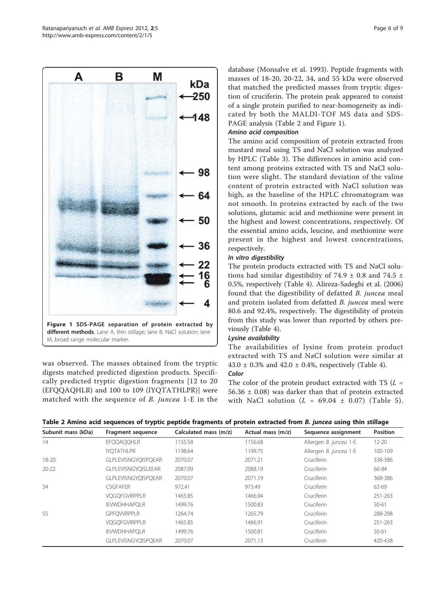<span id="page-5-0"></span>

was observed. The masses obtained from the tryptic digests matched predicted digestion products. Specifically predicted tryptic digestion fragments [12 to 20 (EFQQAQHLR) and 100 to 109 (IYQTATHLPR)] were matched with the sequence of B. juncea 1-E in the

database ([Monsalve et al. 1993](#page-8-0)). Peptide fragments with masses of 18-20, 20-22, 34, and 55 kDa were observed that matched the predicted masses from tryptic digestion of cruciferin. The protein peak appeared to consist of a single protein purified to near-homogeneity as indicated by both the MALDI-TOF MS data and SDS-PAGE analysis (Table 2 and Figure 1).

# Amino acid composition

The amino acid composition of protein extracted from mustard meal using TS and NaCl solution was analyzed by HPLC (Table [3\)](#page-6-0). The differences in amino acid content among proteins extracted with TS and NaCl solution were slight. The standard deviation of the valine content of protein extracted with NaCl solution was high, as the baseline of the HPLC chromatogram was not smooth. In proteins extracted by each of the two solutions, glutamic acid and methionine were present in the highest and lowest concentrations, respectively. Of the essential amino acids, leucine, and methionine were present in the highest and lowest concentrations, respectively.

## In vitro digestibility

The protein products extracted with TS and NaCl solutions had similar digestibility of 74.9  $\pm$  0.8 and 74.5  $\pm$ 0.5%, respectively (Table [4\)](#page-6-0). [Alireza-Sadeghi et al. \(2006\)](#page-8-0) found that the digestibility of defatted B. juncea meal and protein isolated from defatted B. juncea meal were 80.6 and 92.4%, respectively. The digestibility of protein from this study was lower than reported by others previously (Table [4](#page-6-0)).

## Lysine availability

The availabilities of lysine from protein product extracted with TS and NaCl solution were similar at 43.0  $\pm$  0.3% and 42.0  $\pm$  0.4%, respectively (Table [4\)](#page-6-0). Color

The color of the protein product extracted with TS  $(L =$  $56.36 \pm 0.08$ ) was darker than that of protein extracted with NaCl solution ( $L = 69.04 \pm 0.07$ ) (Table [5\)](#page-6-0).

| Table 2 Amino acid sequences of tryptic peptide fragments of protein extracted from B. juncea using thin stillage |  |  |  |
|-------------------------------------------------------------------------------------------------------------------|--|--|--|
|-------------------------------------------------------------------------------------------------------------------|--|--|--|

| Subunit mass (kDa) | Fragment sequence          | Calculated mass (m/z) | Actual mass (m/z) | Sequence assignment    | <b>Position</b> |
|--------------------|----------------------------|-----------------------|-------------------|------------------------|-----------------|
| 14                 | <b>EFOOAOOHLR</b>          | 1155.58               | 1156.68           | Allergen B. juncea 1-E | $12 - 20$       |
|                    | <b>IYOTATHLPR</b>          | 1198.64               | 1199.75           | Allergen B. juncea 1-E | 100-109         |
| $18 - 20$          | <b>GLPLEVISNGYOISPOEAR</b> | 2070.07               | 2071.21           | Cruciferin             | 338-386         |
| $20-22$            | <b>GLPLEVISNGYOISLEEAR</b> | 2087.09               | 2088.19           | Cruciferin             | 66-84           |
|                    | <b>GLPLEVISNGYOISPOEAR</b> | 2070.07               | 2071.19           | Cruciferin             | 368-386         |
| 34                 | <b>CSGEAFER</b>            | 972.41                | 973.49            | Cruciferin             | 62-69           |
|                    | <b>VOGOFGVIRPPLR</b>       | 1465.85               | 1466.94           | Cruciferin             | 251-263         |
|                    | <b>IEVWDHHAPOLR</b>        | 1499.76               | 1500.83           | Cruciferin             | $50 - 61$       |
| 55                 | <b>GPFOVVRPPLR</b>         | 1264.74               | 1265.79           | Cruciferin             | 288-298         |
|                    | <b>VOGOFGVIRPPLR</b>       | 1465.85               | 1466.91           | Cruciferin             | 251-263         |
|                    | <b>IEVWDHHAPOLR</b>        | 1499.76               | 1500.81           | Cruciferin             | $50 - 61$       |
|                    | <b>GLPLEVISNGYOISPOEAR</b> | 2070.07               | 2071.13           | Cruciferin             | 420-438         |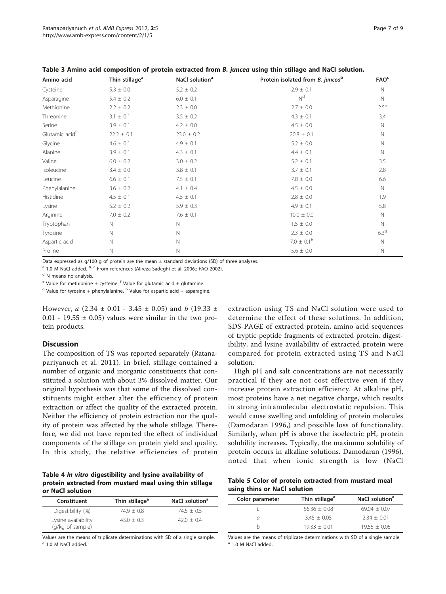| Amino acid                 | Thin stillage <sup>a</sup> | NaCl solution <sup>a</sup> | Protein isolated from B. junceab | <b>FAO<sup>c</sup></b> |
|----------------------------|----------------------------|----------------------------|----------------------------------|------------------------|
| Cysteine                   | $5.3 \pm 0.0$              | $5.2 \pm 0.2$              | $2.9 \pm 0.1$                    | N                      |
| Asparagine                 | $5.4 \pm 0.2$              | $6.0 \pm 0.1$              | N <sup>d</sup>                   | $\mathbb N$            |
| Methionine                 | $2.2 \pm 0.2$              | $2.3 \pm 0.0$              | $2.7 \pm 0.0$                    | $2.5^{\mathrm{e}}$     |
| Threonine                  | $3.1 \pm 0.1$              | $3.5 \pm 0.2$              | $4.3 \pm 0.1$                    | 3.4                    |
| Serine                     | $3.9 \pm 0.1$              | $4.2 \pm 0.0$              | $4.5 \pm 0.0$                    | N                      |
| Glutamic acid <sup>f</sup> | $22.2 \pm 0.1$             | $23.0 \pm 0.2$             | $20.8 \pm 0.1$                   | N                      |
| Glycine                    | $4.6 \pm 0.1$              | $4.9 \pm 0.1$              | $5.2 \pm 0.0$                    | $\mathbb N$            |
| Alanine                    | $3.9 \pm 0.1$              | $4.3 \pm 0.1$              | $4.4 \pm 0.1$                    | $\mathbb N$            |
| Valine                     | $6.0 \pm 0.2$              | $3.0 \pm 0.2$              | $5.2 \pm 0.1$                    | 3.5                    |
| Isoleucine                 | $3.4 \pm 0.0$              | $3.8 \pm 0.1$              | $3.7 \pm 0.1$                    | 2.8                    |
| Leucine                    | $6.6 \pm 0.1$              | $7.5 \pm 0.1$              | $7.8 \pm 0.0$                    | 6.6                    |
| Phenylalanine              | $3.6 \pm 0.2$              | $4.1 \pm 0.4$              | $4.5 \pm 0.0$                    | N                      |
| Histidine                  | $4.5 \pm 0.1$              | $4.5 \pm 0.1$              | $2.8 \pm 0.0$                    | 1.9                    |
| Lysine                     | $5.2 \pm 0.2$              | $5.9 \pm 0.3$              | $4.9 \pm 0.1$                    | 5.8                    |
| Arginine                   | $7.0 \pm 0.2$              | $7.6 \pm 0.1$              | $10.0 \pm 0.0$                   | $\mathbb N$            |
| Tryptophan                 | $\mathbb N$                | N                          | $1.5 \pm 0.0$                    | N                      |
| Tyrosine                   | N                          | Ν                          | $2.3 \pm 0.0$                    | 6.39                   |
| Aspartic acid              | N                          | $\mathsf{N}$               | $7.0 \pm 0.1$ <sup>h</sup>       | $\mathbb N$            |
| Proline                    | N                          | N                          | $5.6 \pm 0.0$                    | N                      |

<span id="page-6-0"></span>Table 3 Amino acid composition of protein extracted from B. juncea using thin stillage and NaCl solution.

Data expressed as  $g/100$  g of protein are the mean  $\pm$  standard deviations (SD) of three analyses.

<sup>a</sup> 1.0 M NaCl added.  $b, c$  From references ([Alireza-Sadeghi et al. 2006](#page-8-0),; [FAO 2002](#page-8-0)).

<sup>d</sup> N means no analysis.

 $e^{e}$  Value for methionine + cysteine. <sup>f</sup> Value for glutamic acid + glutamine.

 $9$  Value for tyrosine + phenylalanine. <sup>h</sup> Value for aspartic acid + asparagine.

However,  $a$  (2.34  $\pm$  0.01 - 3.45  $\pm$  0.05) and b (19.33  $\pm$  $0.01 - 19.55 \pm 0.05$ ) values were similar in the two protein products.

#### **Discussion**

The composition of TS was reported separately [\(Ratana](#page-8-0)[pariyanuch et al. 2011\)](#page-8-0). In brief, stillage contained a number of organic and inorganic constituents that constituted a solution with about 3% dissolved matter. Our original hypothesis was that some of the dissolved constituents might either alter the efficiency of protein extraction or affect the quality of the extracted protein. Neither the efficiency of protein extraction nor the quality of protein was affected by the whole stillage. Therefore, we did not have reported the effect of individual components of the stillage on protein yield and quality. In this study, the relative efficiencies of protein

Table 4 In vitro digestibility and lysine availability of protein extracted from mustard meal using thin stillage or NaCl solution

| Constituent         | Thin stillage <sup>a</sup> | NaCl solution <sup>a</sup> |
|---------------------|----------------------------|----------------------------|
| Digestibility (%)   | $74.9 + 0.8$               | $74.5 + 0.5$               |
| Lysine availability | $43.0 + 0.3$               | $42.0 + 0.4$               |
| (g/kg of sample)    |                            |                            |

Values are the means of triplicate determinations with SD of a single sample. <sup>a</sup> 1.0 M NaCl added.

extraction using TS and NaCl solution were used to determine the effect of these solutions. In addition, SDS-PAGE of extracted protein, amino acid sequences of tryptic peptide fragments of extracted protein, digestibility, and lysine availability of extracted protein were compared for protein extracted using TS and NaCl solution.

High pH and salt concentrations are not necessarily practical if they are not cost effective even if they increase protein extraction efficiency. At alkaline pH, most proteins have a net negative charge, which results in strong intramolecular electrostatic repulsion. This would cause swelling and unfolding of protein molecules ([Damodaran 1996,](#page-8-0)) and possible loss of functionality. Similarly, when pH is above the isoelectric pH, protein solubility increases. Typically, the maximum solubility of protein occurs in alkaline solutions. [Damodaran \(1996\)](#page-8-0), noted that when ionic strength is low (NaCl

Table 5 Color of protein extracted from mustard meal using thins or NaCl solution

| Color parameter | Thin stillage <sup>a</sup> | NaCl solution <sup>a</sup> |
|-----------------|----------------------------|----------------------------|
|                 | $56.36 + 0.08$             | $69.04 + 0.07$             |
| a               | $3.45 + 0.05$              | $2.34 + 0.01$              |
|                 | $19.33 + 0.01$             | $19.55 + 0.05$             |

Values are the means of triplicate determinations with SD of a single sample. <sup>a</sup> 1.0 M NaCl added.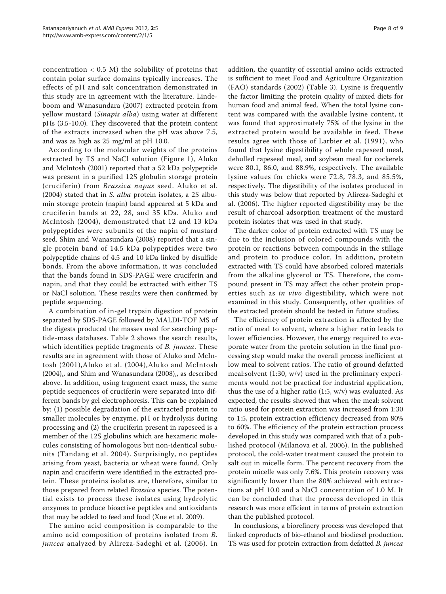concentration  $<$  0.5 M) the solubility of proteins that contain polar surface domains typically increases. The effects of pH and salt concentration demonstrated in this study are in agreement with the literature. [Linde](#page-8-0)[boom and Wanasundara \(2007\)](#page-8-0) extracted protein from yellow mustard (Sinapis alba) using water at different pHs (3.5-10.0). They discovered that the protein content of the extracts increased when the pH was above 7.5, and was as high as 25 mg/ml at pH 10.0.

According to the molecular weights of the proteins extracted by TS and NaCl solution (Figure [1\)](#page-5-0), [Aluko](#page-8-0) [and McIntosh \(2001\)](#page-8-0) reported that a 52 kDa polypeptide was present in a purified 12S globulin storage protein (cruciferin) from Brassica napus seed. [Aluko et al.](#page-8-0) [\(2004\)](#page-8-0) stated that in S. alba protein isolates, a 2S albumin storage protein (napin) band appeared at 5 kDa and cruciferin bands at 22, 28, and 35 kDa. [Aluko and](#page-8-0) [McIntosh \(2004\),](#page-8-0) demonstrated that 12 and 13 kDa polypeptides were subunits of the napin of mustard seed. [Shim and Wanasundara \(2008\)](#page-8-0) reported that a single protein band of 14.5 kDa polypeptides were two polypeptide chains of 4.5 and 10 kDa linked by disulfide bonds. From the above information, it was concluded that the bands found in SDS-PAGE were cruciferin and napin, and that they could be extracted with either TS or NaCl solution. These results were then confirmed by peptide sequencing.

A combination of in-gel trypsin digestion of protein separated by SDS-PAGE followed by MALDI-TOF MS of the digests produced the masses used for searching peptide-mass databases. Table [2](#page-5-0) shows the search results, which identifies peptide fragments of *B. juncea*. These results are in agreement with those of [Aluko and McIn](#page-8-0)[tosh \(2001\),Aluko et al. \(2004\)](#page-8-0),[Aluko and McIntosh](#page-8-0) [\(2004\),](#page-8-0), and [Shim and Wanasundara \(2008\),](#page-8-0), as described above. In addition, using fragment exact mass, the same peptide sequences of cruciferin were separated into different bands by gel electrophoresis. This can be explained by: (1) possible degradation of the extracted protein to smaller molecules by enzyme, pH or hydrolysis during processing and (2) the cruciferin present in rapeseed is a member of the 12S globulins which are hexameric molecules consisting of homologous but non-identical subunits ([Tandang et al. 2004](#page-8-0)). Surprisingly, no peptides arising from yeast, bacteria or wheat were found. Only napin and cruciferin were identified in the extracted protein. These proteins isolates are, therefore, similar to those prepared from related Brassica species. The potential exists to process these isolates using hydrolytic enzymes to produce bioactive peptides and antioxidants that may be added to feed and food [\(Xue et al. 2009](#page-8-0)).

The amino acid composition is comparable to the amino acid composition of proteins isolated from B. juncea analyzed by [Alireza-Sadeghi et al. \(2006\)](#page-8-0). In addition, the quantity of essential amino acids extracted is sufficient to meet Food and Agriculture Organization (FAO) standards (2002) (Table [3\)](#page-6-0). Lysine is frequently the factor limiting the protein quality of mixed diets for human food and animal feed. When the total lysine content was compared with the available lysine content, it was found that approximately 75% of the lysine in the extracted protein would be available in feed. These results agree with those of [Larbier et al. \(1991\),](#page-8-0) who found that lysine digestibility of whole rapeseed meal, dehulled rapeseed meal, and soybean meal for cockerels were 80.1, 86.0, and 88.9%, respectively. The available lysine values for chicks were 72.8, 78.3, and 85.5%, respectively. The digestibility of the isolates produced in this study was below that reported by [Alireza-Sadeghi et](#page-8-0) [al. \(2006\)](#page-8-0). The higher reported digestibility may be the result of charcoal adsorption treatment of the mustard protein isolates that was used in that study.

The darker color of protein extracted with TS may be due to the inclusion of colored compounds with the protein or reactions between compounds in the stillage and protein to produce color. In addition, protein extracted with TS could have absorbed colored materials from the alkaline glycerol or TS. Therefore, the compound present in TS may affect the other protein properties such as in vivo digestibility, which were not examined in this study. Consequently, other qualities of the extracted protein should be tested in future studies.

The efficiency of protein extraction is affected by the ratio of meal to solvent, where a higher ratio leads to lower efficiencies. However, the energy required to evaporate water from the protein solution in the final processing step would make the overall process inefficient at low meal to solvent ratios. The ratio of ground defatted meal:solvent (1:30, w/v) used in the preliminary experiments would not be practical for industrial application, thus the use of a higher ratio  $(1:5, w/v)$  was evaluated. As expected, the results showed that when the meal: solvent ratio used for protein extraction was increased from 1:30 to 1:5, protein extraction efficiency decreased from 80% to 60%. The efficiency of the protein extraction process developed in this study was compared with that of a published protocol ([Milanova et al. 2006\)](#page-8-0). In the published protocol, the cold-water treatment caused the protein to salt out in micelle form. The percent recovery from the protein micelle was only 7.6%. This protein recovery was significantly lower than the 80% achieved with extractions at pH 10.0 and a NaCl concentration of 1.0 M. It can be concluded that the process developed in this research was more efficient in terms of protein extraction than the published protocol.

In conclusions, a biorefinery process was developed that linked coproducts of bio-ethanol and biodiesel production. TS was used for protein extraction from defatted B. juncea